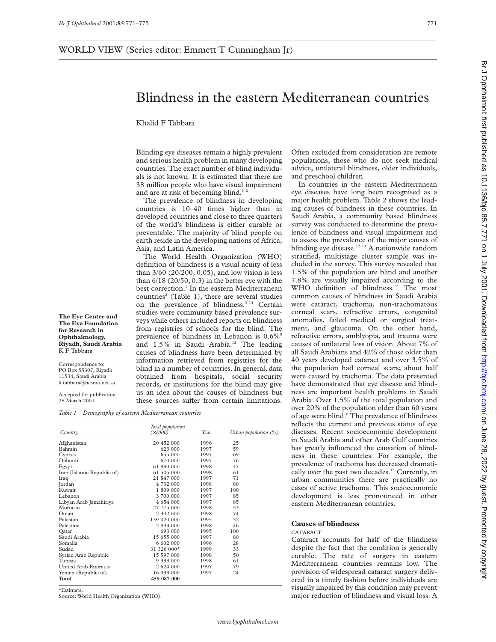# Blindness in the eastern Mediterranean countries

Khalid F Tabbara

Blinding eye diseases remain a highly prevalent and serious health problem in many developing countries. The exact number of blind individuals is not known. It is estimated that there are 38 million people who have visual impairment and are at risk of becoming blind.<sup>1</sup>

The prevalence of blindness in developing countries is 10–40 times higher than in developed countries and close to three quarters of the world's blindness is either curable or preventable. The majority of blind people on earth reside in the developing nations of Africa, Asia, and Latin America.

The World Health Organization (WHO) definition of blindness is a visual acuity of less than 3/60 (20/200, 0.05), and low vision is less than  $6/18$   $(20/50, 0.3)$  in the better eye with the best correction.<sup>1</sup> In the eastern Mediterranean countries<sup>2</sup> (Table 1), there are several studies on the prevalence of blindness.<sup>3-14</sup> Certain studies were community based prevalence surveys while others included reports on blindness from registries of schools for the blind. The prevalence of blindness in Lebanon is  $0.6\%$ <sup>8</sup> and 1.5% in Saudi Arabia.<sup>12</sup> The leading causes of blindness have been determined by information retrieved from registries for the blind in a number of countries. In general, data obtained from hospitals, social security records, or institutions for the blind may give us an idea about the causes of blindness but these sources suffer from certain limitations.

**The Eye Center and The Eye Foundation for Research in Ophthalmology, Riyadh, Saudi Arabia** K F Tabbara

Correspondence to: PO Box 55307, Riyadh 11534, Saudi Arabia k.tabbara@nesma.net.sa

Accepted for publication 28 March 2001

*Table 1 Demography of eastern Mediterranean countries*

| Country                    | Total population<br>$(\times 1000)$ | Year | Urban population $(\%)$ |
|----------------------------|-------------------------------------|------|-------------------------|
| Afghanistan                | 20 452 000                          | 1996 | 25                      |
| Bahrain                    | 623 000                             | 1997 | 59                      |
| Cyprus                     | 655 000                             | 1997 | 69                      |
| Djibouti                   | 670 000                             | 1997 | 76                      |
| Egypt                      | 61 880 000                          | 1998 | 47                      |
| Iran (Islamic Republic of) | 61 505 000                          | 1998 | 61                      |
| Iraq                       | 21 847 000                          | 1997 | 71                      |
| Jordan                     | 4 732 000                           | 1998 | 80                      |
| Kuwait                     | 1809000                             | 1997 | 100                     |
| Lebanon                    | 3 700 000                           | 1997 | 85                      |
| Libyan Arab Jamahiriya     | 4 654 000                           | 1997 | 85                      |
| Morocco                    | 27 775 000                          | 1998 | 53                      |
| Oman                       | 2 302 000                           | 1998 | 74                      |
| Pakistan                   | 139 020 000                         | 1995 | 32                      |
| Palestine                  | 2893000                             | 1998 | 46                      |
| Oatar                      | 693 000                             | 1995 | 100                     |
| Saudi Arabia               | 15 655 000                          | 1997 | 80                      |
| Somalia                    | 6 602 000                           | 1996 | 28                      |
| Sudan                      | 31 326 000*                         | 1999 | 33                      |
| Syrian Arab Republic       | 15 597 000                          | 1998 | 50                      |
| Tunisia                    | 9 333 000                           | 1998 | 61                      |
| United Arab Emirates       | 2 624 000                           | 1997 | 79                      |
| Yemen (Republic of)        | 16 933 000                          | 1997 | 24                      |
| Total                      | 455 087 000                         |      |                         |

\*Estimate.

Source: World Health Organization (WHO).

Often excluded from consideration are remote populations, those who do not seek medical advice, unilateral blindness, older individuals, and preschool children.

In countries in the eastern Mediterranean eye diseases have long been recognised as a major health problem. Table 2 shows the leading causes of blindness in these countries. In Saudi Arabia, a community based blindness survey was conducted to determine the prevalence of blindness and visual impairment and to assess the prevalence of the major causes of blinding eye disease.12 13 A nationwide random stratified, multistage cluster sample was included in the survey. This survey revealed that 1.5% of the population are blind and another 7.8% are visually impaired according to the WHO definition of blindness.<sup>12</sup> The most common causes of blindness in Saudi Arabia were cataract, trachoma, non-trachomatous corneal scars, refractive errors, congenital anomalies, failed medical or surgical treatment, and glaucoma. On the other hand, refractive errors, amblyopia, and trauma were causes of unilateral loss of vision. About 7% of all Saudi Arabians and 42% of those older than 40 years developed cataract and over 3.5% of the population had corneal scars; about half were caused by trachoma. The data presented have demonstrated that eye disease and blindness are important health problems in Saudi Arabia. Over 1.5% of the total population and over 20% of the population older than 60 years of age were blind.<sup>8</sup> The prevalence of blindness reflects the current and previous status of eye diseases. Recent socioeconomic development in Saudi Arabia and other Arab Gulf countries has greatly influenced the causation of blindness in these countries. For example, the prevalence of trachoma has decreased dramatically over the past two decades.<sup>15</sup> Currently, in urban communities there are practically no cases of active trachoma. This socioeconomic development is less pronounced in other eastern Mediterranean countries.

## **Causes of blindness**

#### CATARACT

Cataract accounts for half of the blindness despite the fact that the condition is generally curable. The rate of surgery in eastern Mediterranean countries remains low. The provision of widespread cataract surgery delivered in a timely fashion before individuals are visually impaired by this condition may prevent major reduction of blindness and visual loss. A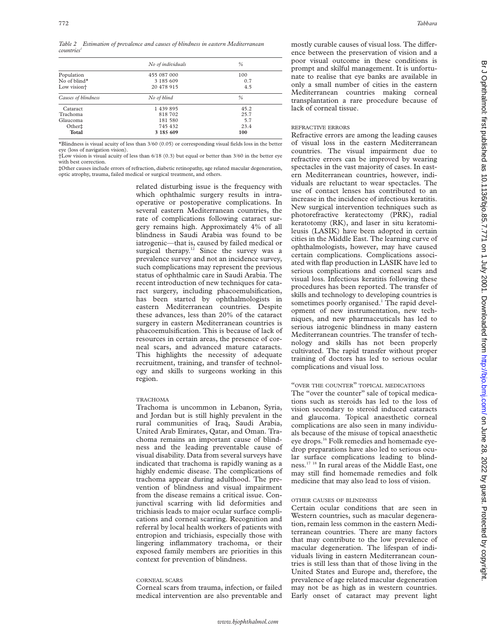*Table 2 Estimation of prevalence and causes of blindness in eastern Mediterranean countries1*

|                         | No of individuals | %    |
|-------------------------|-------------------|------|
| Population              | 455 087 000       | 100  |
| No of blind*            | 3 185 609         | 0.7  |
| Low vision <sup>+</sup> | 20 478 915        | 4.5  |
| Causes of blindness     | No of blind       | %    |
| Cataract                | 1439895           | 45.2 |
| Trachoma                | 818702            | 25.7 |
| Glaucoma                | 181 580           | 5.7  |
| Other‡                  | 745 432           | 23.4 |
| Total                   | 3 185 609         | 100  |
|                         |                   |      |

\*Blindness is visual acuity of less than 3/60 (0.05) or corresponding visual fields loss in the better eye (loss of navigation vision).

†Low vision is visual acuity of less than 6/18 (0.3) but equal or better than 3/60 in the better eye with best correction.

‡Other causes include errors of refraction, diabetic retinopathy, age related macular degeneration, optic atrophy, trauma, failed medical or surgical treatment, and others.

> related disturbing issue is the frequency with which ophthalmic surgery results in intraoperative or postoperative complications. In several eastern Mediterranean countries, the rate of complications following cataract surgery remains high. Approximately 4% of all blindness in Saudi Arabia was found to be iatrogenic—that is, caused by failed medical or surgical therapy.<sup>12</sup> Since the survey was a prevalence survey and not an incidence survey, such complications may represent the previous status of ophthalmic care in Saudi Arabia. The recent introduction of new techniques for cataract surgery, including phacoemulsification, has been started by ophthalmologists in eastern Mediterranean countries. Despite these advances, less than 20% of the cataract surgery in eastern Mediterranean countries is phacoemulsification. This is because of lack of resources in certain areas, the presence of corneal scars, and advanced mature cataracts. This highlights the necessity of adequate recruitment, training, and transfer of technology and skills to surgeons working in this region.

## TRACHOMA

Trachoma is uncommon in Lebanon, Syria, and Jordan but is still highly prevalent in the rural communities of Iraq, Saudi Arabia, United Arab Emirates, Qatar, and Oman. Trachoma remains an important cause of blindness and the leading preventable cause of visual disability. Data from several surveys have indicated that trachoma is rapidly waning as a highly endemic disease. The complications of trachoma appear during adulthood. The prevention of blindness and visual impairment from the disease remains a critical issue. Conjunctival scarring with lid deformities and trichiasis leads to major ocular surface complications and corneal scarring. Recognition and referral by local health workers of patients with entropion and trichiasis, especially those with lingering inflammatory trachoma, or their exposed family members are priorities in this context for prevention of blindness.

## CORNEAL SCARS

Corneal scars from trauma, infection, or failed medical intervention are also preventable and

mostly curable causes of visual loss. The difference between the preservation of vision and a poor visual outcome in these conditions is prompt and skilful management. It is unfortunate to realise that eye banks are available in only a small number of cities in the eastern Mediterranean countries making corneal transplantation a rare procedure because of lack of corneal tissue.

#### REFRACTIVE ERRORS

Refractive errors are among the leading causes of visual loss in the eastern Mediterranean countries. The visual impairment due to refractive errors can be improved by wearing spectacles in the vast majority of cases. In eastern Mediterranean countries, however, individuals are reluctant to wear spectacles. The use of contact lenses has contributed to an increase in the incidence of infectious keratitis. New surgical intervention techniques such as photorefractive keratectomy (PRK), radial keratotomy (RK), and laser in situ keratomileusis (LASIK) have been adopted in certain cities in the Middle East. The learning curve of ophthalmologists, however, may have caused certain complications. Complications associated with flap production in LASIK have led to serious complications and corneal scars and visual loss. Infectious keratitis following these procedures has been reported. The transfer of skills and technology to developing countries is sometimes poorly organised.<sup>1</sup> The rapid development of new instrumentation, new techniques, and new pharmaceuticals has led to serious iatrogenic blindness in many eastern Mediterranean countries. The transfer of technology and skills has not been properly cultivated. The rapid transfer without proper training of doctors has led to serious ocular complications and visual loss.

## "OVER THE COUNTER" TOPICAL MEDICATIONS

The "over the counter" sale of topical medications such as steroids has led to the loss of vision secondary to steroid induced cataracts and glaucoma. Topical anaesthetic corneal complications are also seen in many individuals because of the misuse of topical anaesthetic eye drops.16 Folk remedies and homemade eyedrop preparations have also led to serious ocular surface complications leading to blindness.17 18 In rural areas of the Middle East, one may still find homemade remedies and folk medicine that may also lead to loss of vision.

## OTHER CAUSES OF BLINDNESS

Certain ocular conditions that are seen in Western countries, such as macular degeneration, remain less common in the eastern Mediterranean countries. There are many factors that may contribute to the low prevalence of macular degeneration. The lifespan of individuals living in eastern Mediterranean countries is still less than that of those living in the United States and Europe and, therefore, the prevalence of age related macular degeneration may not be as high as in western countries. Early onset of cataract may prevent light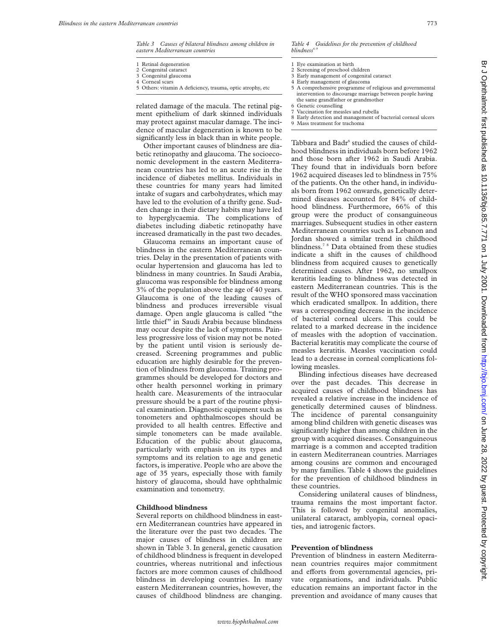*Table 3 Causes of bilateral blindness among children in eastern Mediterranean countries*

- Congenital cataract
- 3 Congenital glaucoma 4 Corneal scars
- 5 Others: vitamin A deficiency, trauma, optic atrophy, etc

related damage of the macula. The retinal pigment epithelium of dark skinned individuals may protect against macular damage. The incidence of macular degeneration is known to be significantly less in black than in white people.

Other important causes of blindness are diabetic retinopathy and glaucoma. The socioeconomic development in the eastern Mediterranean countries has led to an acute rise in the incidence of diabetes mellitus. Individuals in these countries for many years had limited intake of sugars and carbohydrates, which may have led to the evolution of a thrifty gene. Sudden change in their dietary habits may have led to hyperglycaemia. The complications of diabetes including diabetic retinopathy have increased dramatically in the past two decades.

Glaucoma remains an important cause of blindness in the eastern Mediterranean countries. Delay in the presentation of patients with ocular hypertension and glaucoma has led to blindness in many countries. In Saudi Arabia, glaucoma was responsible for blindness among 3% of the population above the age of 40 years. Glaucoma is one of the leading causes of blindness and produces irreversible visual damage. Open angle glaucoma is called "the little thief" in Saudi Arabia because blindness may occur despite the lack of symptoms. Painless progressive loss of vision may not be noted by the patient until vision is seriously decreased. Screening programmes and public education are highly desirable for the prevention of blindness from glaucoma. Training programmes should be developed for doctors and other health personnel working in primary health care. Measurements of the intraocular pressure should be a part of the routine physical examination. Diagnostic equipment such as tonometers and ophthalmoscopes should be provided to all health centres. Effective and simple tonometers can be made available. Education of the public about glaucoma, particularly with emphasis on its types and symptoms and its relation to age and genetic factors, is imperative. People who are above the age of 35 years, especially those with family history of glaucoma, should have ophthalmic examination and tonometry.

## **Childhood blindness**

Several reports on childhood blindness in eastern Mediterranean countries have appeared in the literature over the past two decades. The major causes of blindness in children are shown in Table 3. In general, genetic causation of childhood blindness is frequent in developed countries, whereas nutritional and infectious factors are more common causes of childhood blindness in developing countries. In many eastern Mediterranean countries, however, the causes of childhood blindness are changing.

*Table 4 Guidelines for the prevention of childhood blindness* 

- 1 Eye examination at birth<br>2. Screening of preschool cl
- Screening of preschool children
- 3 Early management of congenital cataract
- Early management of glaucoma
- 5 A comprehensive programme of religious and governmental intervention to discourage marriage between people having the same grandfather or grandmother
- 6 Genetic counselling
- Vaccination for measles and rubella
- Early detection and management of bacterial corneal ulcers 9 Mass treatment for trachoma

Tabbara and Badr<sup>6</sup> studied the causes of childhood blindness in individuals born before 1962 and those born after 1962 in Saudi Arabia. They found that in individuals born before 1962 acquired diseases led to blindness in 75% of the patients. On the other hand, in individuals born from 1962 onwards, genetically determined diseases accounted for 84% of childhood blindness. Furthermore, 66% of this group were the product of consanguineous marriages. Subsequent studies in other eastern Mediterranean countries such as Lebanon and Jordan showed a similar trend in childhood blindness.<sup>78</sup> Data obtained from these studies indicate a shift in the causes of childhood blindness from acquired causes to genetically determined causes. After 1962, no smallpox keratitis leading to blindness was detected in eastern Mediterranean countries. This is the result of the WHO sponsored mass vaccination which eradicated smallpox. In addition, there was a corresponding decrease in the incidence of bacterial corneal ulcers. This could be related to a marked decrease in the incidence of measles with the adoption of vaccination. Bacterial keratitis may complicate the course of measles keratitis. Measles vaccination could lead to a decrease in corneal complications following measles.

Blinding infectious diseases have decreased over the past decades. This decrease in acquired causes of childhood blindness has revealed a relative increase in the incidence of genetically determined causes of blindness. The incidence of parental consanguinity among blind children with genetic diseases was significantly higher than among children in the group with acquired diseases. Consanguineous marriage is a common and accepted tradition in eastern Mediterranean countries. Marriages among cousins are common and encouraged by many families. Table 4 shows the guidelines for the prevention of childhood blindness in these countries.

Considering unilateral causes of blindness, trauma remains the most important factor. This is followed by congenital anomalies, unilateral cataract, amblyopia, corneal opacities, and iatrogenic factors.

# **Prevention of blindness**

Prevention of blindness in eastern Mediterranean countries requires major commitment and efforts from governmental agencies, private organisations, and individuals. Public education remains an important factor in the prevention and avoidance of many causes that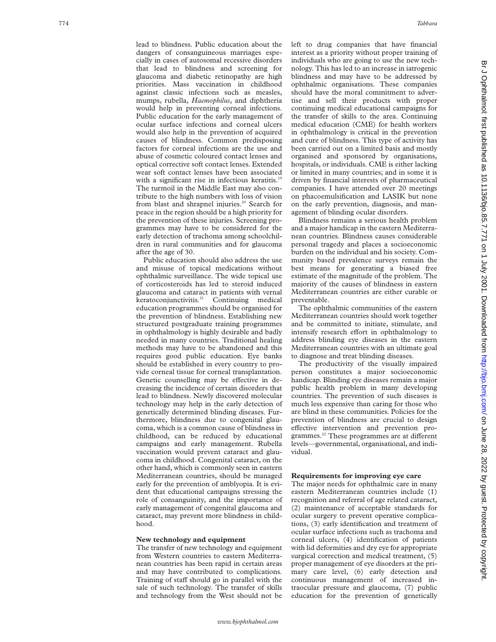lead to blindness. Public education about the dangers of consanguineous marriages especially in cases of autosomal recessive disorders that lead to blindness and screening for glaucoma and diabetic retinopathy are high priorities. Mass vaccination in childhood against classic infections such as measles, mumps, rubella, *Haemophilus*, and diphtheria would help in preventing corneal infections. Public education for the early management of ocular surface infections and corneal ulcers would also help in the prevention of acquired causes of blindness. Common predisposing factors for corneal infections are the use and abuse of cosmetic coloured contact lenses and optical corrective soft contact lenses. Extended wear soft contact lenses have been associated with a significant rise in infectious keratitis. $10$ The turmoil in the Middle East may also contribute to the high numbers with loss of vision from blast and shrapnel injuries.<sup>20</sup> Search for peace in the region should be a high priority for the prevention of these injuries. Screening programmes may have to be considered for the early detection of trachoma among schoolchildren in rural communities and for glaucoma after the age of 30.

Public education should also address the use and misuse of topical medications without ophthalmic surveillance. The wide topical use of corticosteroids has led to steroid induced glaucoma and cataract in patients with vernal keratoconjunctivitis.21 Continuing medical education programmes should be organised for the prevention of blindness. Establishing new structured postgraduate training programmes in ophthalmology is highly desirable and badly needed in many countries. Traditional healing methods may have to be abandoned and this requires good public education. Eye banks should be established in every country to provide corneal tissue for corneal transplantation. Genetic counselling may be effective in decreasing the incidence of certain disorders that lead to blindness. Newly discovered molecular technology may help in the early detection of genetically determined blinding diseases. Furthermore, blindness due to congenital glaucoma, which is a common cause of blindness in childhood, can be reduced by educational campaigns and early management. Rubella vaccination would prevent cataract and glaucoma in childhood. Congenital cataract, on the other hand, which is commonly seen in eastern Mediterranean countries, should be managed early for the prevention of amblyopia. It is evident that educational campaigns stressing the role of consanguinity, and the importance of early management of congenital glaucoma and cataract, may prevent more blindness in childhood.

#### **New technology and equipment**

The transfer of new technology and equipment from Western countries to eastern Mediterranean countries has been rapid in certain areas and may have contributed to complications. Training of staff should go in parallel with the sale of such technology. The transfer of skills and technology from the West should not be left to drug companies that have financial interest as a priority without proper training of individuals who are going to use the new technology. This has led to an increase in iatrogenic blindness and may have to be addressed by ophthalmic organisations. These companies should have the moral commitment to advertise and sell their products with proper continuing medical educational campaigns for the transfer of skills to the area. Continuing medical education (CME) for health workers in ophthalmology is critical in the prevention and cure of blindness. This type of activity has been carried out on a limited basis and mostly organised and sponsored by organisations, hospitals, or individuals. CME is either lacking or limited in many countries; and in some it is driven by financial interests of pharmaceutical companies. I have attended over 20 meetings on phacoemulsification and LASIK but none on the early prevention, diagnosis, and management of blinding ocular disorders.

Blindness remains a serious health problem and a major handicap in the eastern Mediterranean countries. Blindness causes considerable personal tragedy and places a socioeconomic burden on the individual and his society. Community based prevalence surveys remain the best means for generating a biased free estimate of the magnitude of the problem. The majority of the causes of blindness in eastern Mediterranean countries are either curable or preventable.

The ophthalmic communities of the eastern Mediterranean countries should work together and be committed to initiate, stimulate, and intensify research effort in ophthalmology to address blinding eye diseases in the eastern Mediterranean countries with an ultimate goal to diagnose and treat blinding diseases.

The productivity of the visually impaired person constitutes a major socioeconomic handicap. Blinding eye diseases remain a major public health problem in many developing countries. The prevention of such diseases is much less expensive than caring for those who are blind in these communities. Policies for the prevention of blindness are crucial to design effective intervention and prevention programmes. $22$  These programmes are at different levels—governmental, organisational, and individual.

## **Requirements for improving eye care**

The major needs for ophthalmic care in many eastern Mediterranean countries include (1) recognition and referral of age related cataract, (2) maintenance of acceptable standards for ocular surgery to prevent operative complications, (3) early identification and treatment of ocular surface infections such as trachoma and corneal ulcers, (4) identification of patients with lid deformities and dry eye for appropriate surgical correction and medical treatment, (5) proper management of eye disorders at the primary care level, (6) early detection and continuous management of increased intraocular pressure and glaucoma, (7) public education for the prevention of genetically